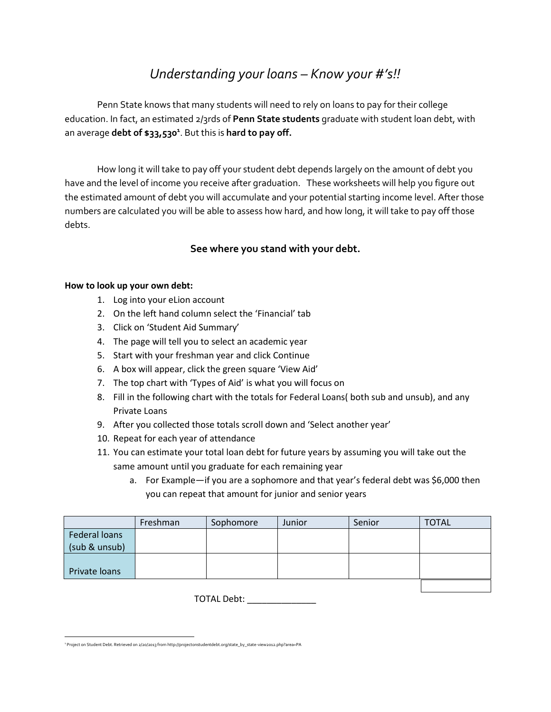# *Understanding your loans – Know your #'s!!*

Penn State knows that many students will need to rely on loans to pay for their college education. In fact, an estimated 2/3rds of **Penn State students** graduate with student loan debt, with an average **debt of \$33,530<sup>1</sup>** . But this is **hard to pay off.**

How long it will take to pay off your student debt depends largely on the amount of debt you have and the level of income you receive after graduation. These worksheets will help you figure out the estimated amount of debt you will accumulate and your potential starting income level. After those numbers are calculated you will be able to assess how hard, and how long, it will take to pay off those debts.

# **See where you stand with your debt.**

#### **How to look up your own debt:**

- 1. Log into your eLion account
- 2. On the left hand column select the 'Financial' tab
- 3. Click on 'Student Aid Summary'
- 4. The page will tell you to select an academic year
- 5. Start with your freshman year and click Continue
- 6. A box will appear, click the green square 'View Aid'
- 7. The top chart with 'Types of Aid' is what you will focus on
- 8. Fill in the following chart with the totals for Federal Loans( both sub and unsub), and any Private Loans
- 9. After you collected those totals scroll down and 'Select another year'
- 10. Repeat for each year of attendance
- 11. You can estimate your total loan debt for future years by assuming you will take out the same amount until you graduate for each remaining year
	- a. For Example—if you are a sophomore and that year's federal debt was \$6,000 then you can repeat that amount for junior and senior years

|                      | Freshman | Sophomore | Junior | Senior | <b>TOTAL</b> |
|----------------------|----------|-----------|--------|--------|--------------|
| <b>Federal loans</b> |          |           |        |        |              |
| (sub & unsub)        |          |           |        |        |              |
|                      |          |           |        |        |              |
| Private loans        |          |           |        |        |              |
|                      |          |           |        |        |              |

TOTAL Debt: \_\_\_\_\_\_\_\_\_\_\_\_\_\_

 <sup>1</sup> Project on Student Debt. Retrieved on 2/20/2013 from http://projectonstudentdebt.org/state\_by\_state-view2012.php?area=PA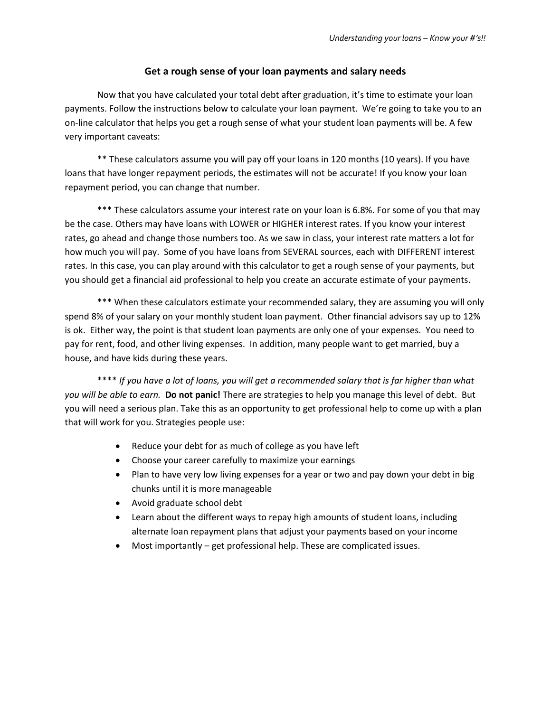#### **Get a rough sense of your loan payments and salary needs**

Now that you have calculated your total debt after graduation, it's time to estimate your loan payments. Follow the instructions below to calculate your loan payment. We're going to take you to an on-line calculator that helps you get a rough sense of what your student loan payments will be. A few very important caveats:

\*\* These calculators assume you will pay off your loans in 120 months (10 years). If you have loans that have longer repayment periods, the estimates will not be accurate! If you know your loan repayment period, you can change that number.

\*\*\* These calculators assume your interest rate on your loan is 6.8%. For some of you that may be the case. Others may have loans with LOWER or HIGHER interest rates. If you know your interest rates, go ahead and change those numbers too. As we saw in class, your interest rate matters a lot for how much you will pay. Some of you have loans from SEVERAL sources, each with DIFFERENT interest rates. In this case, you can play around with this calculator to get a rough sense of your payments, but you should get a financial aid professional to help you create an accurate estimate of your payments.

\*\*\* When these calculators estimate your recommended salary, they are assuming you will only spend 8% of your salary on your monthly student loan payment. Other financial advisors say up to 12% is ok. Either way, the point is that student loan payments are only one of your expenses. You need to pay for rent, food, and other living expenses. In addition, many people want to get married, buy a house, and have kids during these years.

\*\*\*\* *If you have a lot of loans, you will get a recommended salary that is far higher than what you will be able to earn.* **Do not panic!** There are strategies to help you manage this level of debt. But you will need a serious plan. Take this as an opportunity to get professional help to come up with a plan that will work for you. Strategies people use:

- Reduce your debt for as much of college as you have left
- Choose your career carefully to maximize your earnings
- Plan to have very low living expenses for a year or two and pay down your debt in big chunks until it is more manageable
- Avoid graduate school debt
- Learn about the different ways to repay high amounts of student loans, including alternate loan repayment plans that adjust your payments based on your income
- Most importantly get professional help. These are complicated issues.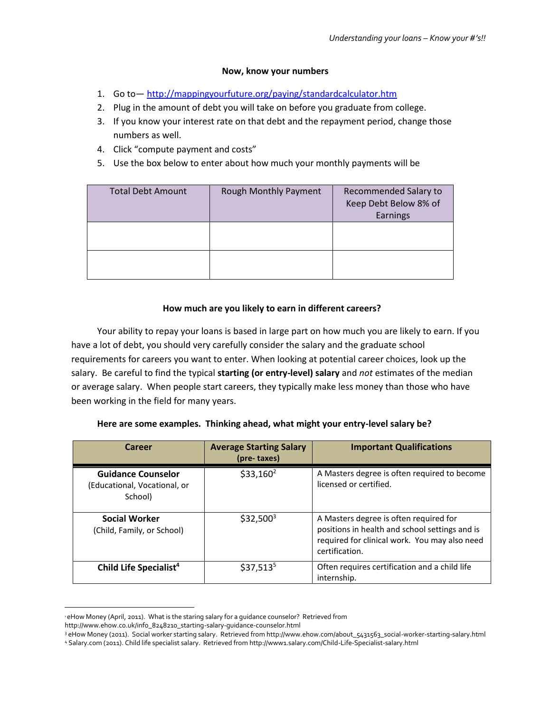### **Now, know your numbers**

- 1. Go to— <http://mappingyourfuture.org/paying/standardcalculator.htm>
- 2. Plug in the amount of debt you will take on before you graduate from college.
- 3. If you know your interest rate on that debt and the repayment period, change those numbers as well.
- 4. Click "compute payment and costs"
- 5. Use the box below to enter about how much your monthly payments will be

| <b>Total Debt Amount</b> | Rough Monthly Payment | Recommended Salary to<br>Keep Debt Below 8% of<br>Earnings |
|--------------------------|-----------------------|------------------------------------------------------------|
|                          |                       |                                                            |
|                          |                       |                                                            |

## **How much are you likely to earn in different careers?**

Your ability to repay your loans is based in large part on how much you are likely to earn. If you have a lot of debt, you should very carefully consider the salary and the graduate school requirements for careers you want to enter. When looking at potential career choices, look up the salary. Be careful to find the typical **starting (or entry-level) salary** and *not* estimates of the median or average salary. When people start careers, they typically make less money than those who have been working in the field for many years.

| Here are some examples. Thinking ahead, what might your entry-level salary be? |  |  |
|--------------------------------------------------------------------------------|--|--|
|                                                                                |  |  |

| Career                                                               | <b>Average Starting Salary</b><br>(pre-taxes) | <b>Important Qualifications</b>                                                                                                                             |
|----------------------------------------------------------------------|-----------------------------------------------|-------------------------------------------------------------------------------------------------------------------------------------------------------------|
| <b>Guidance Counselor</b><br>(Educational, Vocational, or<br>School) | $$33,160^2$                                   | A Masters degree is often required to become<br>licensed or certified.                                                                                      |
| <b>Social Worker</b><br>(Child, Family, or School)                   | $$32,500^3$                                   | A Masters degree is often required for<br>positions in health and school settings and is<br>required for clinical work. You may also need<br>certification. |
| Child Life Specialist <sup>4</sup>                                   | $$37,513^5$                                   | Often requires certification and a child life<br>internship.                                                                                                |

l <sup>2</sup> eHow Money (April, 2011). What is the staring salary for a guidance counselor? Retrieved from

http://www.ehow.co.uk/info\_8248210\_starting-salary-guidance-counselor.html

<sup>3</sup> eHow Money (2011). Social worker starting salary. Retrieved from http://www.ehow.com/about\_5431563\_social-worker-starting-salary.html

<sup>4</sup> Salary.com (2011). Child life specialist salary. Retrieved from http://www1.salary.com/Child-Life-Specialist-salary.html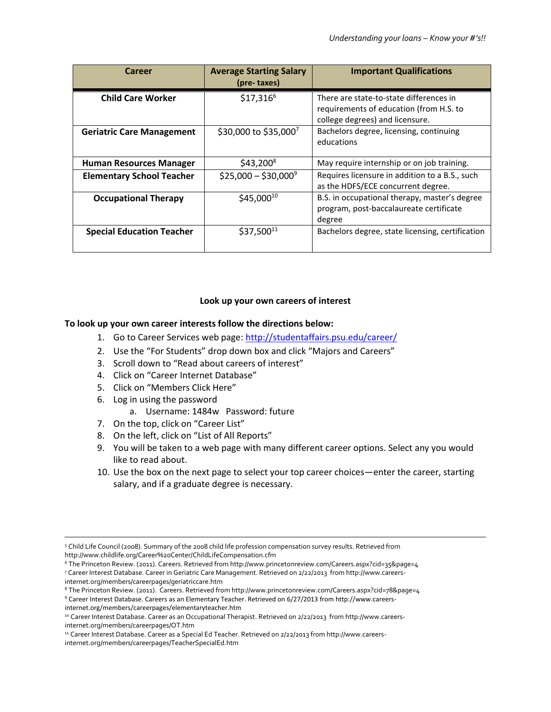| Career                           | <b>Average Starting Salary</b><br>(pre-taxes) | <b>Important Qualifications</b>                                                                                       |
|----------------------------------|-----------------------------------------------|-----------------------------------------------------------------------------------------------------------------------|
| <b>Child Care Worker</b>         | $$17,316^6$                                   | There are state-to-state differences in<br>requirements of education (from H.S. to<br>college degrees) and licensure. |
| <b>Geriatric Care Management</b> | \$30,000 to \$35,0007                         | Bachelors degree, licensing, continuing<br>educations                                                                 |
| <b>Human Resources Manager</b>   | $$43,200^8$                                   | May require internship or on job training.                                                                            |
| <b>Elementary School Teacher</b> | $$25,000 - $30,000^9$                         | Requires licensure in addition to a B.S., such<br>as the HDFS/ECE concurrent degree.                                  |
| <b>Occupational Therapy</b>      | \$45,00010                                    | B.S. in occupational therapy, master's degree<br>program, post-baccalaureate certificate<br>degree                    |
| <b>Special Education Teacher</b> | \$37,50011                                    | Bachelors degree, state licensing, certification                                                                      |

#### **Look up your own careers of interest**

#### **To look up your own career interests follow the directions below:**

- 1. Go to Career Services web page:<http://studentaffairs.psu.edu/career/>
- 2. Use the "For Students" drop down box and click "Majors and Careers"
- 3. Scroll down to "Read about careers of interest"
- 4. Click on "Career Internet Database"
- 5. Click on "Members Click Here"
- 6. Log in using the password
	- a. Username: 1484w Password: future
- 7. On the top, click on "Career List"
- 8. On the left, click on "List of All Reports"
- 9. You will be taken to a web page with many different career options. Select any you would like to read about.
- 10. Use the box on the next page to select your top career choices—enter the career, starting salary, and if a graduate degree is necessary.

 $\overline{\phantom{a}}$ 

<sup>5</sup> Child Life Council (2008). Summary of the 2008 child life profession compensation survey results. Retrieved from http://www.childlife.org/Career%20Center/ChildLifeCompensation.cfm

<sup>6</sup> The Princeton Review. (2011). Careers. Retrieved from http://www.princetonreview.com/Careers.aspx?cid=35&page=4 <sup>7</sup> Career Interest Database. Career in Geriatric Care Management. Retrieved on 2/22/2013 from http://www.careersinternet.org/members/careerpages/geriatriccare.htm

<sup>8</sup> The Princeton Review. (2011). Careers. Retrieved from http://www.princetonreview.com/Careers.aspx?cid=78&page=4

<sup>9</sup> Career Interest Database. Careers as an Elementary Teacher. Retrieved on 6/27/2013 from http://www.careers-

internet.org/members/careerpages/elementaryteacher.htm

<sup>&</sup>lt;sup>10</sup> Career Interest Database. Career as an Occupational Therapist. Retrieved on 2/22/2013 from http://www.careersinternet.org/members/careerpages/OT.htm

<sup>11</sup> Career Interest Database. Career as a Special Ed Teacher. Retrieved on 2/22/2013 from http://www.careersinternet.org/members/careerpages/TeacherSpecialEd.htm